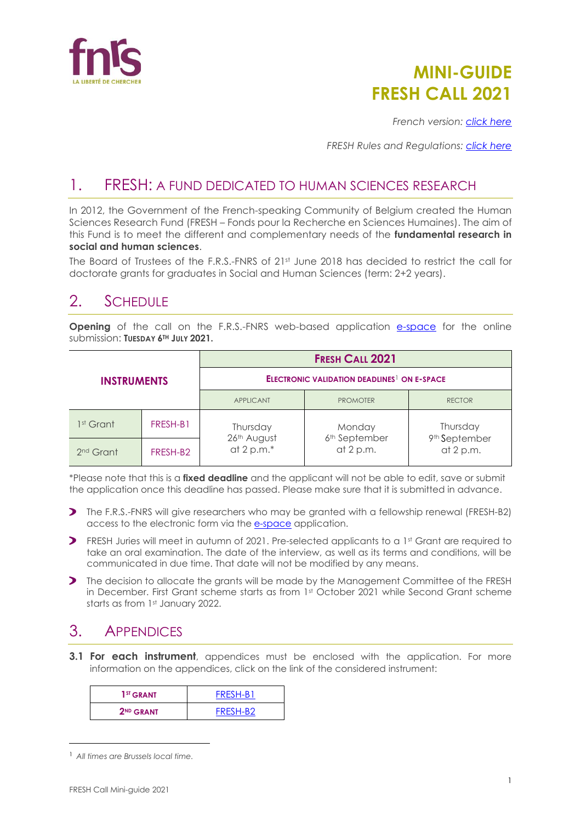

# **MINI-GUIDE FRESH CALL 2021**

*French version: [click here](https://www.frs-fnrs.be/docs/Reglement-et-documents/FRS-FNRS_Mini-guide_Bourses_FRESH_2021_FR.pdf)*

*FRESH Rules and Regulations: [click here](https://www.frs-fnrs.be/docs/Reglement-et-documents/FRS-FNRS_REGL_FRESH_BD_EN.pdf)*

# 1. FRESH: A FUND DEDICATED TO HUMAN SCIENCES RESEARCH

In 2012, the Government of the French-speaking Community of Belgium created the Human Sciences Research Fund (FRESH – Fonds pour la Recherche en Sciences Humaines). The aim of this Fund is to meet the different and complementary needs of the **fundamental research in social and human sciences**.

The Board of Trustees of the F.R.S.-FNRS of 21st June 2018 has decided to restrict the call for doctorate grants for graduates in Social and Human Sciences (term: 2+2 years).

## 2. SCHEDULE

**Opening** of the call on the F.R.S.-FNRS web-based application [e-space](https://e-space.frs-fnrs.be/) for the online submission: **TUESDAY 6TH JULY 2021.**

| <b>INSTRUMENTS</b>    |          | <b>FRESH CALL 2021</b>                                        |                                        |                                        |
|-----------------------|----------|---------------------------------------------------------------|----------------------------------------|----------------------------------------|
|                       |          | <b>ELECTRONIC VALIDATION DEADLINES<sup>1</sup> ON E-SPACE</b> |                                        |                                        |
|                       |          | <b>APPLICANT</b>                                              | <b>PROMOTER</b>                        | <b>RECTOR</b>                          |
| 1 <sup>st</sup> Grant | FRESH-B1 | Thursday                                                      | Monday                                 | Thursday                               |
| 2 <sup>nd</sup> Grant | FRESH-B2 | 26th August<br>at 2 p.m. $*$                                  | 6 <sup>th</sup> September<br>at 2 p.m. | 9 <sup>th</sup> September<br>at 2 p.m. |

\*Please note that this is a **fixed deadline** and the applicant will not be able to edit, save or submit the application once this deadline has passed. Please make sure that it is submitted in advance.

- The F.R.S.-FNRS will give researchers who may be granted with a fellowship renewal (FRESH-B2) access to the electronic form via the [e-space](https://e-space.frs-fnrs.be/) application.
- **>** FRESH Juries will meet in autumn of 2021. Pre-selected applicants to a 1st Grant are required to take an oral examination. The date of the interview, as well as its terms and conditions, will be communicated in due time. That date will not be modified by any means.
- The decision to allocate the grants will be made by the Management Committee of the FRESH in December. First Grant scheme starts as from 1st October 2021 while Second Grant scheme starts as from 1st January 2022.

### 3. APPENDICES

**3.1 For each instrument**, appendices must be enclosed with the application. For more information on the appendices, click on the link of the considered instrument:

| 1 <sup>ST</sup> GRANT | FRESH-B1 |
|-----------------------|----------|
| 2 <sup>ND</sup> GRANT | FRESH-B2 |

<sup>1</sup> *All times are Brussels local time.*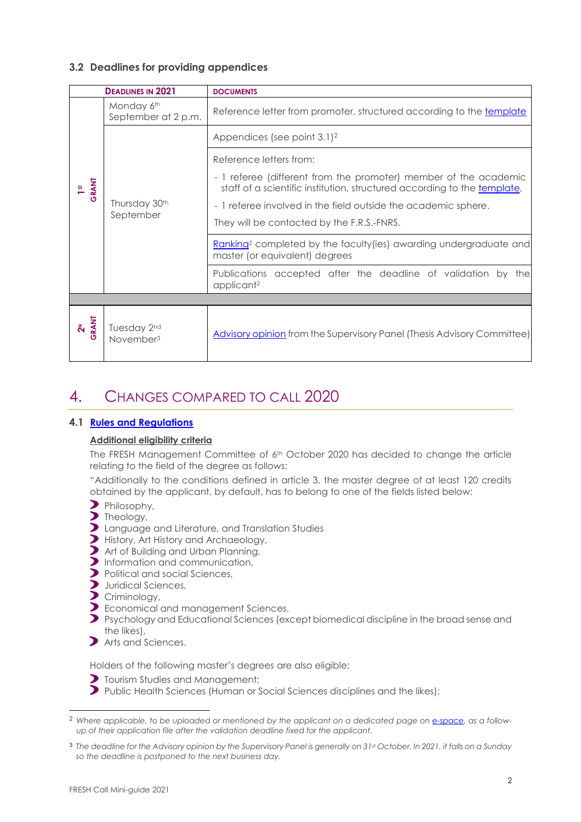#### **3.2 Deadlines for providing appendices**

| <b>DEADLINES IN 2021</b> |                                      | <b>DOCUMENTS</b>                                                                                                                             |
|--------------------------|--------------------------------------|----------------------------------------------------------------------------------------------------------------------------------------------|
|                          | Monday 6th<br>September at 2 p.m.    | Reference letter from promoter, structured according to the template                                                                         |
|                          |                                      | Appendices (see point $3.1$ ) <sup>2</sup>                                                                                                   |
| GRANT                    | Thursday 30th<br>September           | Reference letters from:                                                                                                                      |
|                          |                                      | - 1 referee (different from the promoter) member of the academic<br>staff of a scientific institution, structured according to the template, |
|                          |                                      | - 1 referee involved in the field outside the academic sphere.                                                                               |
|                          |                                      | They will be contacted by the F.R.S.-FNRS.                                                                                                   |
|                          |                                      | Ranking <sup>2</sup> completed by the faculty (ies) awarding undergraduate and<br>master (or equivalent) degrees                             |
|                          |                                      | Publications accepted after the deadline of validation by<br>the<br>applicant <sup>2</sup>                                                   |
|                          |                                      |                                                                                                                                              |
| 2 <sup>N</sup>           | Tuesday 2nd<br>November <sup>3</sup> | Advisory opinion from the Supervisory Panel (Thesis Advisory Committee)                                                                      |

# 4. CHANGES COMPARED TO CALL 2020

#### **4.1 [Rules and Regulations](https://www.frs-fnrs.be/docs/Reglement-et-documents/FRS-FNRS_REGL_FRESH_BD_EN.pdf)**

#### **Additional eligibility criteria**

The FRESH Management Committee of 6<sup>th</sup> October 2020 has decided to change the article relating to the field of the degree as follows:

"Additionally to the conditions defined in article 3, the master degree of at least 120 credits obtained by the applicant, by default, has to belong to one of the fields listed below:

- Philosophy,
- Theology,
- Language and Literature, and Translation Studies
- History, Art History and Archaeology,
- Art of Building and Urban Planning,
- Information and communication,
- Political and social Sciences,
- $\sum$ Juridical Sciences,
- Criminology,
- Economical and management Sciences,
- $\overline{\mathbf{z}}$ Psychology and Educational Sciences (except biomedical discipline in the broad sense and the likes),
- Arts and Sciences.

Holders of the following master's degrees are also eligible:

- **T** Tourism Studies and Management:
- Public Health Sciences (Human or Social Sciences disciplines and the likes);

<sup>2</sup> *Where applicable, to be uploaded or mentioned by the applicant on a dedicated page on [e-space,](https://e-space.frs-fnrs.be/) as a followup of their application file after the validation deadline fixed for the applicant.*

<sup>3</sup> *The deadline for the Advisory opinion by the Supervisory Panel is generally on 31st October. In 2021, it falls on a Sunday so the deadline is postponed to the next business day.*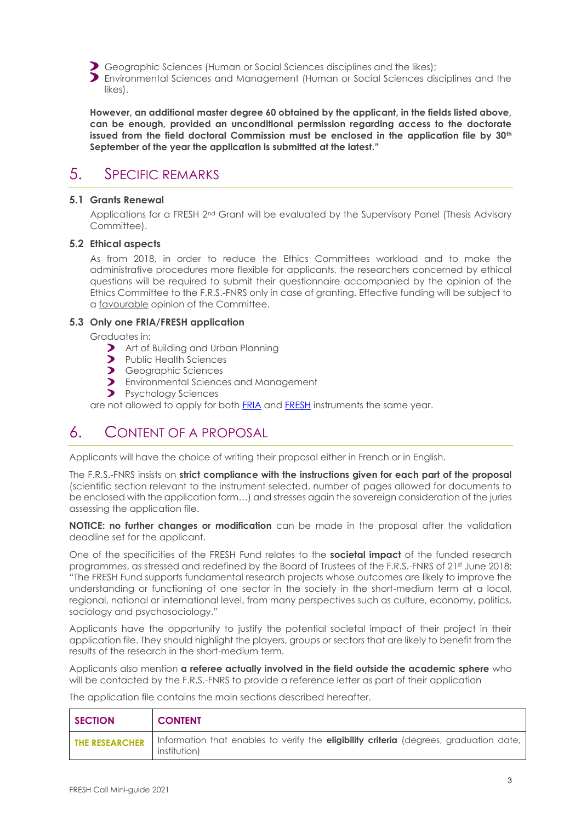Geographic Sciences (Human or Social Sciences disciplines and the likes);

Environmental Sciences and Management (Human or Social Sciences disciplines and the likes).

**However, an additional master degree 60 obtained by the applicant, in the fields listed above, can be enough, provided an unconditional permission regarding access to the doctorate issued from the field doctoral Commission must be enclosed in the application file by 30th September of the year the application is submitted at the latest."**

### 5. SPECIFIC REMARKS

#### **5.1 Grants Renewal**

Applications for a FRESH 2<sup>nd</sup> Grant will be evaluated by the Supervisory Panel (Thesis Advisory Committee).

#### **5.2 Ethical aspects**

As from 2018, in order to reduce the Ethics Committees workload and to make the administrative procedures more flexible for applicants, the researchers concerned by ethical questions will be required to submit their questionnaire accompanied by the opinion of the Ethics Committee to the F.R.S.-FNRS only in case of granting. Effective funding will be subject to a favourable opinion of the Committee.

#### **5.3 Only one FRIA/FRESH application**

Graduates in:

- **Art of Building and Urban Planning**
- Public Health Sciences
- **>** Geographic Sciences
- **D** Environmental Sciences and Management
- **P**sychology Sciences

are not allowed to apply for both [FRIA](https://www.frs-fnrs.be/docs/Reglement-et-documents/FRS-FNRS_REGL_FRIA_EN.pdf) an[d FRESH](https://www.frs-fnrs.be/docs/Reglement-et-documents/FRS-FNRS_REGL_FRESH_BD_EN.pdf) instruments the same year.

# 6. CONTENT OF A PROPOSAL

Applicants will have the choice of writing their proposal either in French or in English.

The F.R.S.-FNRS insists on **strict compliance with the instructions given for each part of the proposal** (scientific section relevant to the instrument selected, number of pages allowed for documents to be enclosed with the application form…) and stresses again the sovereign consideration of the juries assessing the application file.

**NOTICE: no further changes or modification** can be made in the proposal after the validation deadline set for the applicant.

One of the specificities of the FRESH Fund relates to the **societal impact** of the funded research programmes, as stressed and redefined by the Board of Trustees of the F.R.S.-FNRS of 21st June 2018: "The FRESH Fund supports fundamental research projects whose outcomes are likely to improve the understanding or functioning of one sector in the society in the short-medium term at a local, regional, national or international level, from many perspectives such as culture, economy, politics, sociology and psychosociology."

Applicants have the opportunity to justify the potential societal impact of their project in their application file. They should highlight the players, groups or sectors that are likely to benefit from the results of the research in the short-medium term.

Applicants also mention **a referee actually involved in the field outside the academic sphere** who will be contacted by the F.R.S.-FNRS to provide a reference letter as part of their application

The application file contains the main sections described hereafter.

| <b>SECTION</b> | <b>CONTENT</b>                                                                                                          |
|----------------|-------------------------------------------------------------------------------------------------------------------------|
|                | THE RESEARCHER   Information that enables to verify the eligibility criteria (degrees, graduation date,<br>institution) |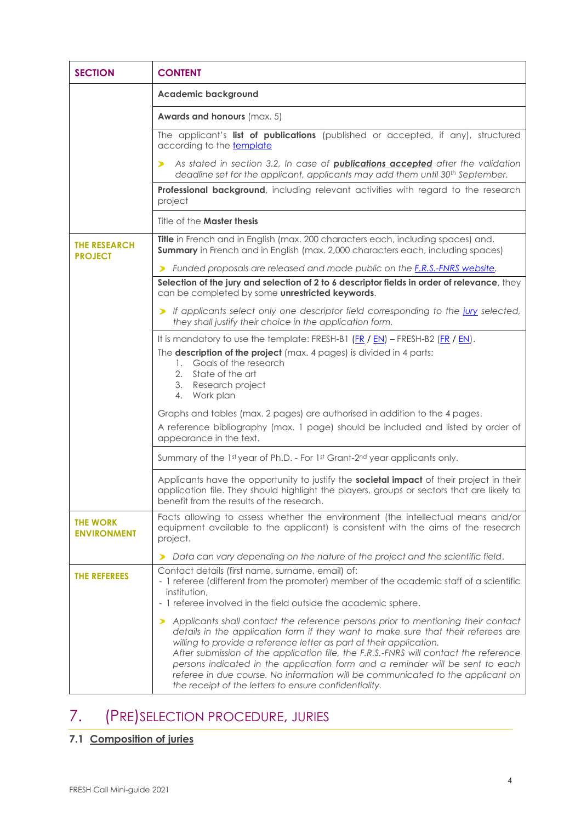| <b>SECTION</b>                        | <b>CONTENT</b>                                                                                                                                                                                                                                                                                                                                                                                                                                                                                               |  |  |
|---------------------------------------|--------------------------------------------------------------------------------------------------------------------------------------------------------------------------------------------------------------------------------------------------------------------------------------------------------------------------------------------------------------------------------------------------------------------------------------------------------------------------------------------------------------|--|--|
|                                       | <b>Academic background</b>                                                                                                                                                                                                                                                                                                                                                                                                                                                                                   |  |  |
|                                       | <b>Awards and honours</b> (max. 5)                                                                                                                                                                                                                                                                                                                                                                                                                                                                           |  |  |
|                                       | The applicant's list of publications (published or accepted, if any), structured<br>according to the template                                                                                                                                                                                                                                                                                                                                                                                                |  |  |
|                                       | As stated in section 3.2, In case of <b>publications accepted</b> after the validation<br>⋗<br>deadline set for the applicant, applicants may add them until 30 <sup>th</sup> September.                                                                                                                                                                                                                                                                                                                     |  |  |
|                                       | Professional background, including relevant activities with regard to the research<br>project                                                                                                                                                                                                                                                                                                                                                                                                                |  |  |
|                                       | Title of the <b>Master thesis</b>                                                                                                                                                                                                                                                                                                                                                                                                                                                                            |  |  |
| <b>THE RESEARCH</b><br><b>PROJECT</b> | Title in French and in English (max. 200 characters each, including spaces) and,<br><b>Summary</b> in French and in English (max. 2,000 characters each, including spaces)                                                                                                                                                                                                                                                                                                                                   |  |  |
|                                       | > Funded proposals are released and made public on the F.R.S.-FNRS website.                                                                                                                                                                                                                                                                                                                                                                                                                                  |  |  |
|                                       | Selection of the jury and selection of 2 to 6 descriptor fields in order of relevance, they<br>can be completed by some unrestricted keywords.                                                                                                                                                                                                                                                                                                                                                               |  |  |
|                                       | > If applicants select only one descriptor field corresponding to the jury selected,<br>they shall justify their choice in the application form.                                                                                                                                                                                                                                                                                                                                                             |  |  |
|                                       | It is mandatory to use the template: FRESH-B1 $(FR / EN)$ – FRESH-B2 ( $FR / EN$ ).                                                                                                                                                                                                                                                                                                                                                                                                                          |  |  |
|                                       | The description of the project (max. 4 pages) is divided in 4 parts:<br>1. Goals of the research<br>2. State of the art                                                                                                                                                                                                                                                                                                                                                                                      |  |  |
|                                       | 3. Research project<br>4. Work plan                                                                                                                                                                                                                                                                                                                                                                                                                                                                          |  |  |
|                                       | Graphs and tables (max. 2 pages) are authorised in addition to the 4 pages.<br>A reference bibliography (max. 1 page) should be included and listed by order of<br>appearance in the text.                                                                                                                                                                                                                                                                                                                   |  |  |
|                                       | Summary of the 1st year of Ph.D. - For 1st Grant-2nd year applicants only.                                                                                                                                                                                                                                                                                                                                                                                                                                   |  |  |
|                                       | Applicants have the opportunity to justify the societal impact of their project in their<br>application file. They should highlight the players, groups or sectors that are likely to<br>benefit from the results of the research.                                                                                                                                                                                                                                                                           |  |  |
| <b>THE WORK</b><br><b>ENVIRONMENT</b> | Facts allowing to assess whether the environment (the intellectual means and/or<br>equipment available to the applicant) is consistent with the aims of the research<br>project.                                                                                                                                                                                                                                                                                                                             |  |  |
|                                       | Data can vary depending on the nature of the project and the scientific field.<br>⋗                                                                                                                                                                                                                                                                                                                                                                                                                          |  |  |
| THE REFEREES                          | Contact details (first name, surname, email) of:<br>- 1 referee (different from the promoter) member of the academic staff of a scientific<br>institution,                                                                                                                                                                                                                                                                                                                                                   |  |  |
|                                       | - 1 referee involved in the field outside the academic sphere.                                                                                                                                                                                                                                                                                                                                                                                                                                               |  |  |
|                                       | Applicants shall contact the reference persons prior to mentioning their contact<br>⋗<br>details in the application form if they want to make sure that their referees are<br>willing to provide a reference letter as part of their application.<br>After submission of the application file, the F.R.S.-FNRS will contact the reference<br>persons indicated in the application form and a reminder will be sent to each<br>referee in due course. No information will be communicated to the applicant on |  |  |
|                                       | the receipt of the letters to ensure confidentiality.                                                                                                                                                                                                                                                                                                                                                                                                                                                        |  |  |

# 7. (PRE)SELECTION PROCEDURE, JURIES

### **7.1 Composition of juries**